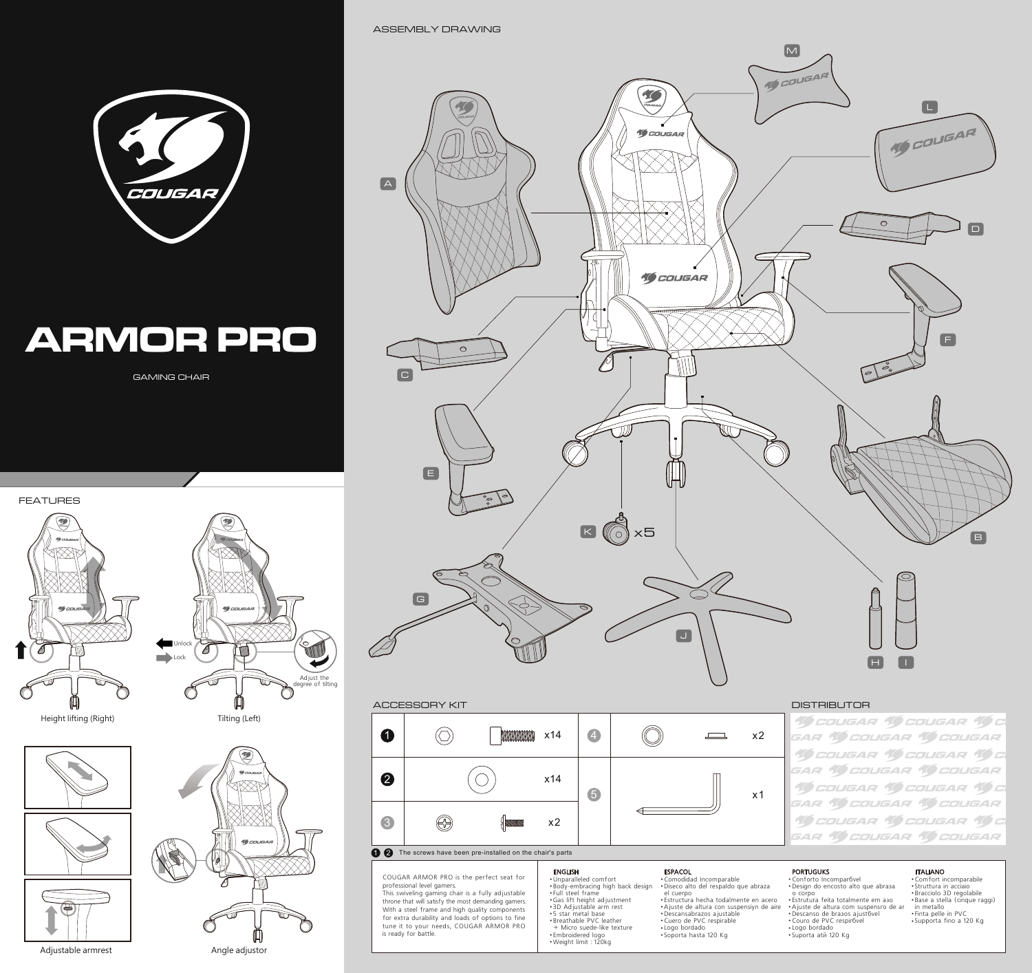

# **ARMOR PRO**

GAMING CHAIR

FEATURES









ASSEMBLY DRAWING



## ACCESSORY KIT DISTRIBUTOR



COUGAR ARMOR PRO is the perfect seat for professional level gamers. This swiveling gaming chair is a fully adjustable throne that will satisfy the most demanding gamers. With a steel frame and high quality components for extra durability and loads of options to fine tune it to your needs, COUGAR ARMOR PRO is ready for battle

## ENGLISH

● Unparalleled comfort ● Body-embracing high back design ● Full steel frame ● Gas lift height adjustment ● 3D Adjustable arm rest ● 5 star metal base ● Breathable PVC leather + Micro suede-like texture ● Embroidered logo ● Weight limit : 120kg

# ● Comodidad Incomparable ● Diseño alto del respaldo que abraza el cuerpo<br>• Estructura hecha todalmente en acero<br>• Ajuste de altura con suspensiyn de aire<br>• Descansabrazos ajustable<br>• Logo bordado<br>• Logo bordado<br>• Soporta hasta 120 Kg **ESPACOL**

## PORTUGUKS

● Conforto Incomparável ● Design do encosto alto que abraça o corpo<br>• Estrutura feita totalmente em asc •Ajuste de altura com suspensro de ar<br>•Descanso de brasos ajust6vel<br>•Couro de PVC respir6vel<br>•Logo bordado<br>•Suporta atñ 120 Kg

# • Comfort incomparabile<br>• Struttura in acciaio • Struttura in acciaio<br>• Bracciolo 3D regolabile<br>• Base a stella (cinque raggi)<br>• in metallo<br>• Finta pelle in PVC<br>• Supporta fino a 120 Kg ITALIANO

**19 COUGAR 19 COUGAR 19 C** GAR (GOUGAR (GOUGAR **10 COUGAR 10 COUGAR 10 C** GAR 10 COUGAR 10 COUGAR **10 COUGAR 10 COUGAR 10 C** GAR **10 COUGAR 10 COUGAR 10 COUGAR 10 COUGAR 10 C SAR 10 COUGAR 10 COUGAR**